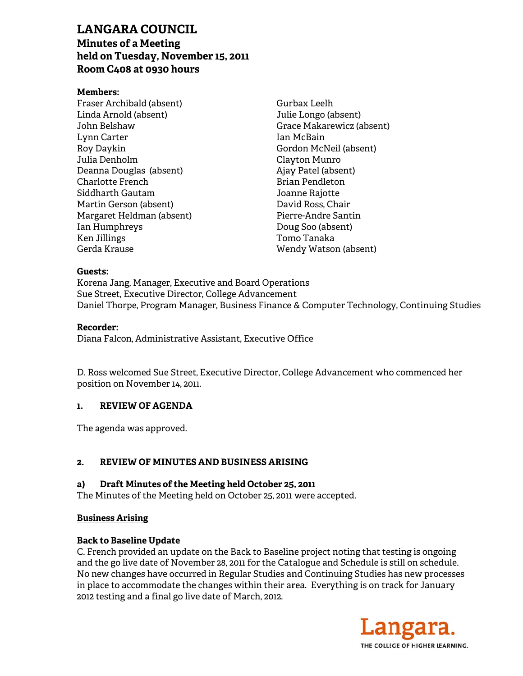## **LAN NGARA C COUNCIL**

# **Minu utes of a M Meeting**  LANGARA COUNCIL<br>Minutes of a Meeting<br>held on Tuesday, November 15, 2011 **Room m C408 at 0 0930 hours s**

## **Mem mbers:**

Frase er Archibald (absent) Linda a Arnold (ab sent) John Belshaw Lynn n Carter Roy D Daykin Julia Denholm Dean nna Douglas (absent) Char lotte French Charlotte French<br>Siddharth Gautam Mart in Gerson (a absent) Margaret Heldman (absent) Ian H Humphreys Ken J Jillings Gerd a Krause

Gurb bax Leelh Julie Longo (absent) Grac ce Makarew wicz (absent) Ian M McBain Gord don McNeil (absent) Clay yton Munro Ajay Patel (absent) Bria an Pendleton Joanne Rajotte Brian Pendleton<br>Joanne Rajotte<br>David Ross, Chair Pier rre-Andre Sa antin Doug Soo (absent) Tom mo Tanaka Wen ndy Watson (absent)

#### **Guests:**

Korena Jang, Manager, Executive and Board Operations Sue Street, Executive Director, College Advancement Daniel Thorpe, Program Manager, Business Finance & Computer Technology, Continuing Studies

#### **Reco rder:**

Diana Falcon, Administrative Assistant, Executive Office

D. Ross welcomed Sue Street, Executive Director, College Advancement who commenced her position on November 14, 2011.

#### **1. REVIEW OF F AGENDA**

The a agenda was a approved.

#### **2. REVIEW OF F MINUTES S AND BUSIN NESS ARISI ING**

#### **a) Draft Minu utes of the M Meeting held d October 25 5, 2011**

The Minutes of the Meeting held on October 25, 2011 were accepted.

## **Busin ness Arising**

# <u>Business Arising</u><br>Back to Baseline Update

C. French provided an update on the Back to Baseline project noting that testing is ongoing and the go live date of November 28, 2011 for the Catalogue and Schedule is still on schedule. No new changes have occurred in Regular Studies and Continuing Studies has new processes in place to accommodate the changes within their area. Everything is on track for January 2012 testing and a final go live date of March, 2012.